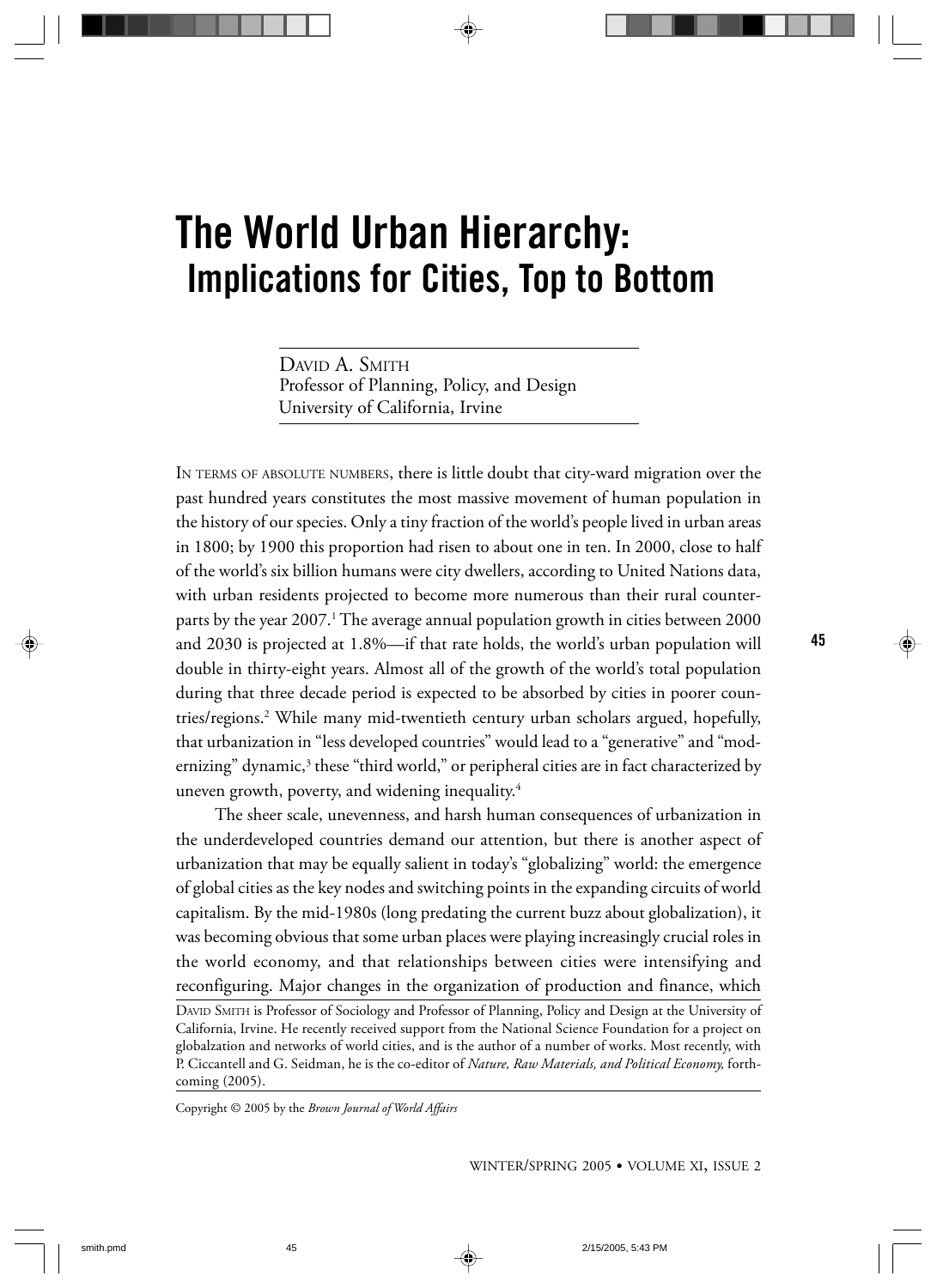DAVID A. SMITH Professor of Planning, Policy, and Design University of California, Irvine

IN TERMS OF ABSOLUTE NUMBERS, there is little doubt that city-ward migration over the past hundred years constitutes the most massive movement of human population in the history of our species. Only a tiny fraction of the world's people lived in urban areas in 1800; by 1900 this proportion had risen to about one in ten. In 2000, close to half of the world's six billion humans were city dwellers, according to United Nations data, with urban residents projected to become more numerous than their rural counterparts by the year 2007.<sup>1</sup> The average annual population growth in cities between 2000 and 2030 is projected at 1.8%—if that rate holds, the world's urban population will double in thirty-eight years. Almost all of the growth of the world's total population during that three decade period is expected to be absorbed by cities in poorer countries/regions.2 While many mid-twentieth century urban scholars argued, hopefully, that urbanization in "less developed countries" would lead to a "generative" and "modernizing" dynamic,<sup>3</sup> these "third world," or peripheral cities are in fact characterized by uneven growth, poverty, and widening inequality.4

The sheer scale, unevenness, and harsh human consequences of urbanization in the underdeveloped countries demand our attention, but there is another aspect of urbanization that may be equally salient in today's "globalizing" world: the emergence of global cities as the key nodes and switching points in the expanding circuits of world capitalism. By the mid-1980s (long predating the current buzz about globalization), it was becoming obvious that some urban places were playing increasingly crucial roles in the world economy, and that relationships between cities were intensifying and reconfiguring. Major changes in the organization of production and finance, which

DAVID SMITH is Professor of Sociology and Professor of Planning, Policy and Design at the University of California, Irvine. He recently received support from the National Science Foundation for a project on globalzation and networks of world cities, and is the author of a number of works. Most recently, with P. Ciccantell and G. Seidman, he is the co-editor of *Nature, Raw Materials, and Political Economy,* forthcoming (2005).

Copyright © 2005 by the *Brown Journal of World Affairs*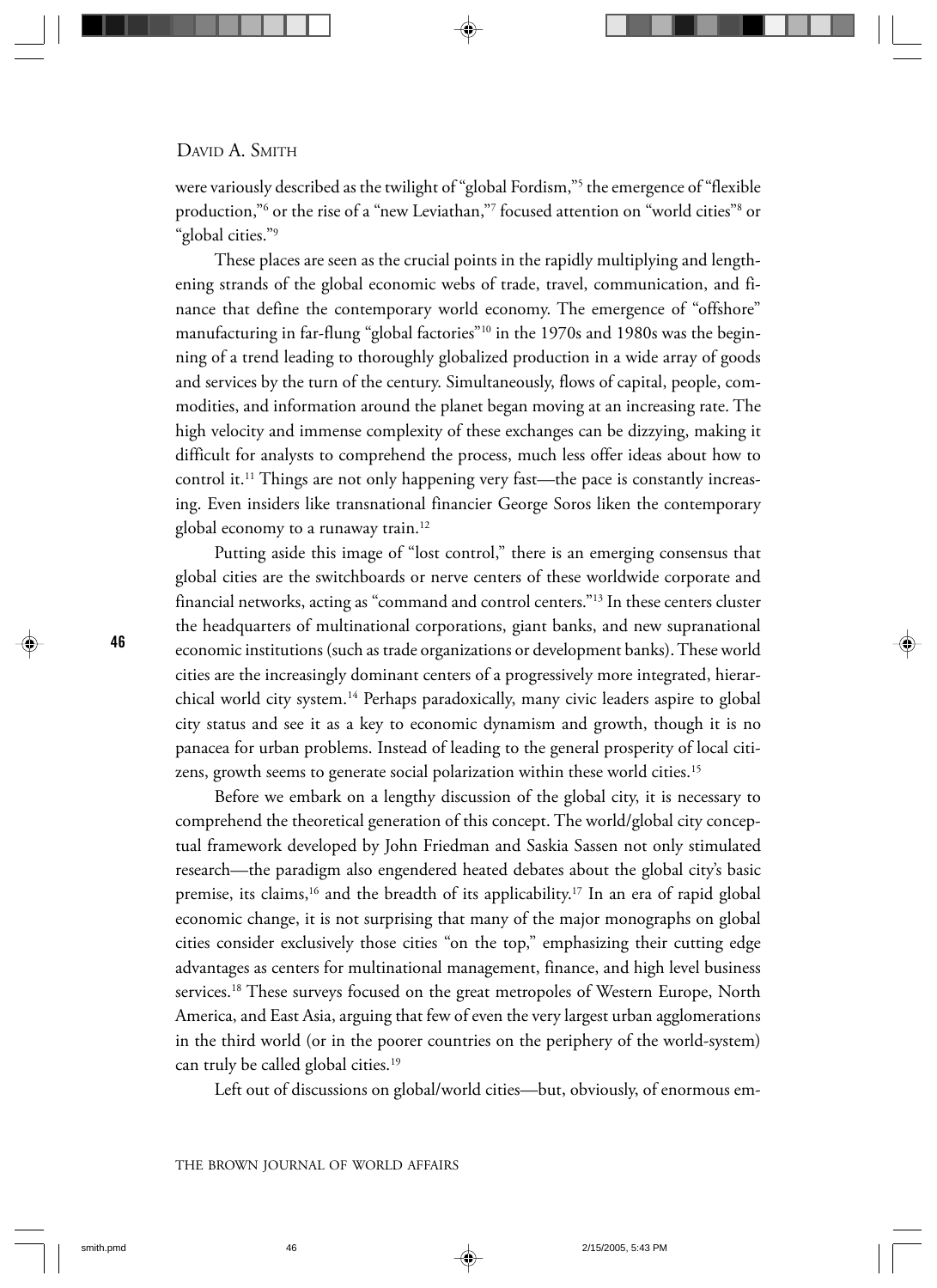were variously described as the twilight of "global Fordism,"5 the emergence of "flexible production,"<sup>6</sup> or the rise of a "new Leviathan,"<sup>7</sup> focused attention on "world cities"<sup>8</sup> or "global cities."9

These places are seen as the crucial points in the rapidly multiplying and lengthening strands of the global economic webs of trade, travel, communication, and finance that define the contemporary world economy. The emergence of "offshore" manufacturing in far-flung "global factories"<sup>10</sup> in the 1970s and 1980s was the beginning of a trend leading to thoroughly globalized production in a wide array of goods and services by the turn of the century. Simultaneously, flows of capital, people, commodities, and information around the planet began moving at an increasing rate. The high velocity and immense complexity of these exchanges can be dizzying, making it difficult for analysts to comprehend the process, much less offer ideas about how to control it.<sup>11</sup> Things are not only happening very fast—the pace is constantly increasing. Even insiders like transnational financier George Soros liken the contemporary global economy to a runaway train.<sup>12</sup>

Putting aside this image of "lost control," there is an emerging consensus that global cities are the switchboards or nerve centers of these worldwide corporate and financial networks, acting as "command and control centers."13 In these centers cluster the headquarters of multinational corporations, giant banks, and new supranational economic institutions (such as trade organizations or development banks). These world cities are the increasingly dominant centers of a progressively more integrated, hierarchical world city system.14 Perhaps paradoxically, many civic leaders aspire to global city status and see it as a key to economic dynamism and growth, though it is no panacea for urban problems. Instead of leading to the general prosperity of local citizens, growth seems to generate social polarization within these world cities.<sup>15</sup>

Before we embark on a lengthy discussion of the global city, it is necessary to comprehend the theoretical generation of this concept. The world/global city conceptual framework developed by John Friedman and Saskia Sassen not only stimulated research—the paradigm also engendered heated debates about the global city's basic premise, its claims,<sup>16</sup> and the breadth of its applicability.<sup>17</sup> In an era of rapid global economic change, it is not surprising that many of the major monographs on global cities consider exclusively those cities "on the top," emphasizing their cutting edge advantages as centers for multinational management, finance, and high level business services.18 These surveys focused on the great metropoles of Western Europe, North America, and East Asia, arguing that few of even the very largest urban agglomerations in the third world (or in the poorer countries on the periphery of the world-system) can truly be called global cities.19

Left out of discussions on global/world cities—but, obviously, of enormous em-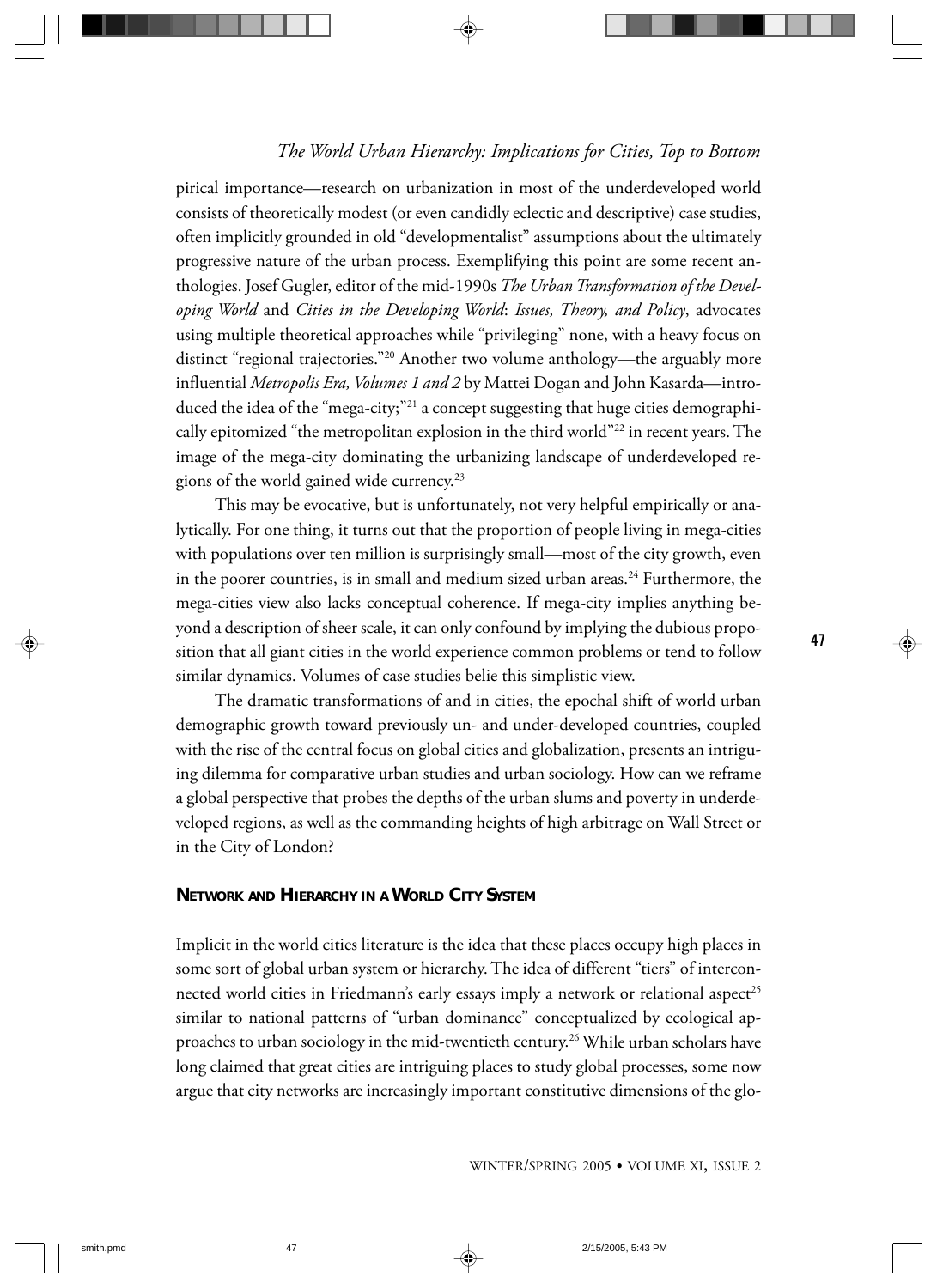pirical importance—research on urbanization in most of the underdeveloped world consists of theoretically modest (or even candidly eclectic and descriptive) case studies, often implicitly grounded in old "developmentalist" assumptions about the ultimately progressive nature of the urban process. Exemplifying this point are some recent anthologies. Josef Gugler, editor of the mid-1990s *The Urban Transformation of the Developing World* and *Cities in the Developing World*: *Issues, Theory, and Policy*, advocates using multiple theoretical approaches while "privileging" none, with a heavy focus on distinct "regional trajectories."20 Another two volume anthology—the arguably more influential *Metropolis Era, Volumes 1 and 2* by Mattei Dogan and John Kasarda—introduced the idea of the "mega-city;"21 a concept suggesting that huge cities demographically epitomized "the metropolitan explosion in the third world"22 in recent years. The image of the mega-city dominating the urbanizing landscape of underdeveloped regions of the world gained wide currency.23

This may be evocative, but is unfortunately, not very helpful empirically or analytically. For one thing, it turns out that the proportion of people living in mega-cities with populations over ten million is surprisingly small—most of the city growth, even in the poorer countries, is in small and medium sized urban areas.<sup>24</sup> Furthermore, the mega-cities view also lacks conceptual coherence. If mega-city implies anything beyond a description of sheer scale, it can only confound by implying the dubious proposition that all giant cities in the world experience common problems or tend to follow similar dynamics. Volumes of case studies belie this simplistic view.

The dramatic transformations of and in cities, the epochal shift of world urban demographic growth toward previously un- and under-developed countries, coupled with the rise of the central focus on global cities and globalization, presents an intriguing dilemma for comparative urban studies and urban sociology. How can we reframe a global perspective that probes the depths of the urban slums and poverty in underdeveloped regions, as well as the commanding heights of high arbitrage on Wall Street or in the City of London?

#### **NETWORK AND HIERARCHY IN A WORLD CITY SYSTEM**

Implicit in the world cities literature is the idea that these places occupy high places in some sort of global urban system or hierarchy. The idea of different "tiers" of interconnected world cities in Friedmann's early essays imply a network or relational aspect<sup>25</sup> similar to national patterns of "urban dominance" conceptualized by ecological approaches to urban sociology in the mid-twentieth century.<sup>26</sup> While urban scholars have long claimed that great cities are intriguing places to study global processes, some now argue that city networks are increasingly important constitutive dimensions of the glo-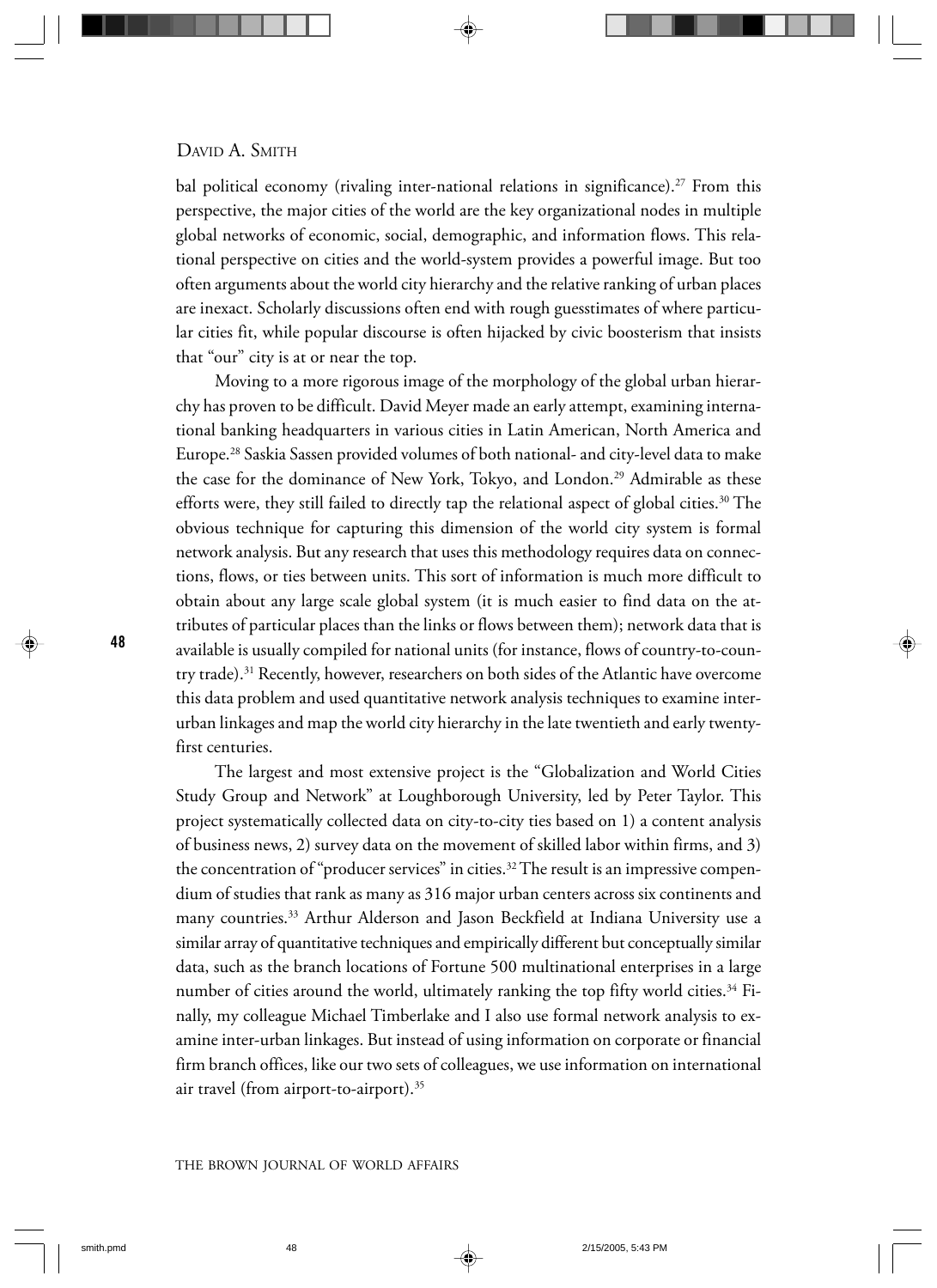bal political economy (rivaling inter-national relations in significance).<sup>27</sup> From this perspective, the major cities of the world are the key organizational nodes in multiple global networks of economic, social, demographic, and information flows. This relational perspective on cities and the world-system provides a powerful image. But too often arguments about the world city hierarchy and the relative ranking of urban places are inexact. Scholarly discussions often end with rough guesstimates of where particular cities fit, while popular discourse is often hijacked by civic boosterism that insists that "our" city is at or near the top.

Moving to a more rigorous image of the morphology of the global urban hierarchy has proven to be difficult. David Meyer made an early attempt, examining international banking headquarters in various cities in Latin American, North America and Europe.28 Saskia Sassen provided volumes of both national- and city-level data to make the case for the dominance of New York, Tokyo, and London.<sup>29</sup> Admirable as these efforts were, they still failed to directly tap the relational aspect of global cities.<sup>30</sup> The obvious technique for capturing this dimension of the world city system is formal network analysis. But any research that uses this methodology requires data on connections, flows, or ties between units. This sort of information is much more difficult to obtain about any large scale global system (it is much easier to find data on the attributes of particular places than the links or flows between them); network data that is available is usually compiled for national units (for instance, flows of country-to-country trade).<sup>31</sup> Recently, however, researchers on both sides of the Atlantic have overcome this data problem and used quantitative network analysis techniques to examine interurban linkages and map the world city hierarchy in the late twentieth and early twentyfirst centuries.

The largest and most extensive project is the "Globalization and World Cities Study Group and Network" at Loughborough University, led by Peter Taylor. This project systematically collected data on city-to-city ties based on 1) a content analysis of business news, 2) survey data on the movement of skilled labor within firms, and 3) the concentration of "producer services" in cities.<sup>32</sup> The result is an impressive compendium of studies that rank as many as 316 major urban centers across six continents and many countries.33 Arthur Alderson and Jason Beckfield at Indiana University use a similar array of quantitative techniques and empirically different but conceptually similar data, such as the branch locations of Fortune 500 multinational enterprises in a large number of cities around the world, ultimately ranking the top fifty world cities.<sup>34</sup> Finally, my colleague Michael Timberlake and I also use formal network analysis to examine inter-urban linkages. But instead of using information on corporate or financial firm branch offices, like our two sets of colleagues, we use information on international air travel (from airport-to-airport).35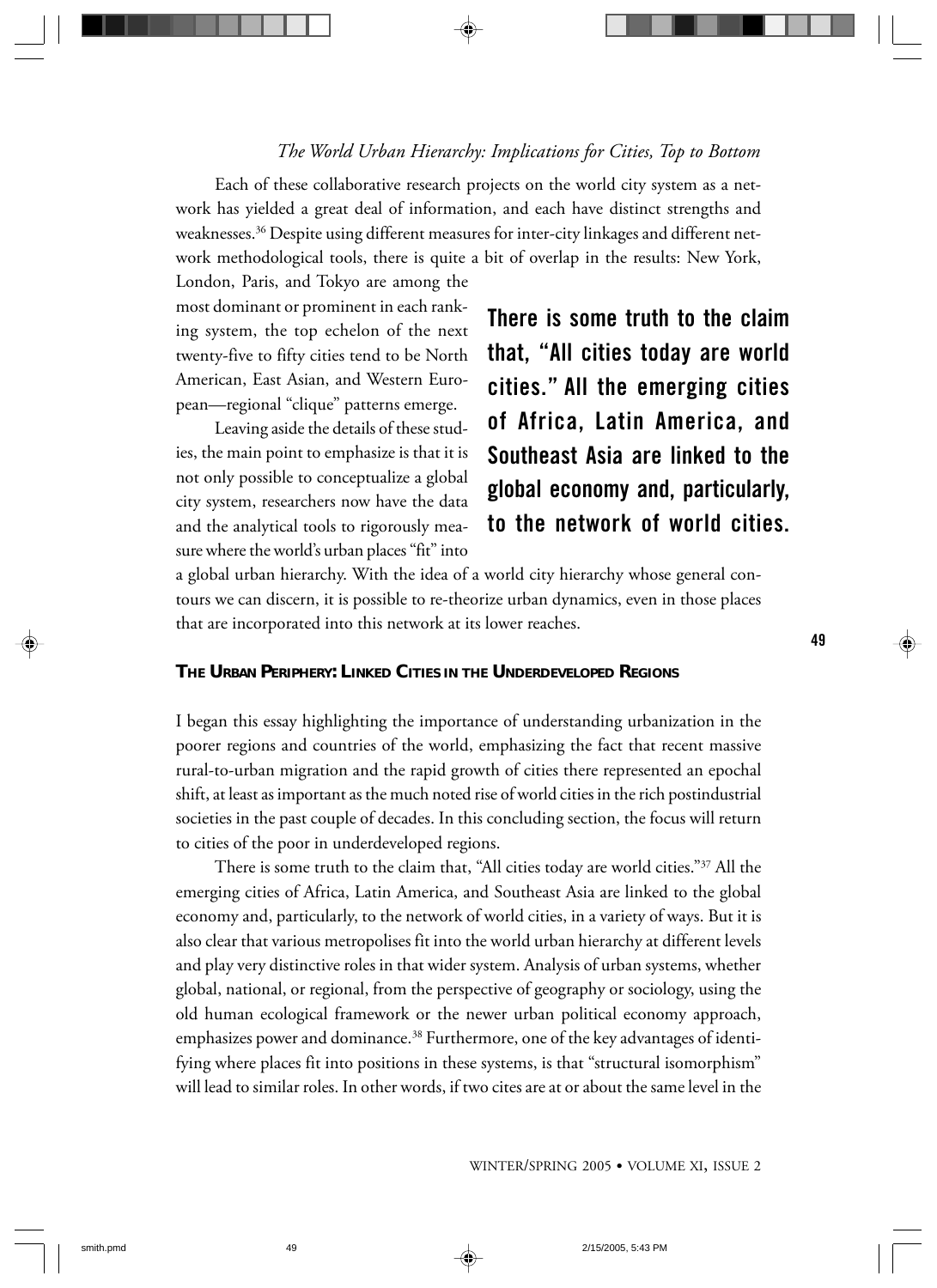Each of these collaborative research projects on the world city system as a network has yielded a great deal of information, and each have distinct strengths and weaknesses.36 Despite using different measures for inter-city linkages and different network methodological tools, there is quite a bit of overlap in the results: New York,

London, Paris, and Tokyo are among the most dominant or prominent in each ranking system, the top echelon of the next twenty-five to fifty cities tend to be North American, East Asian, and Western European—regional "clique" patterns emerge.

Leaving aside the details of these studies, the main point to emphasize is that it is not only possible to conceptualize a global city system, researchers now have the data and the analytical tools to rigorously measure where the world's urban places "fit" into

There is some truth to the claim that, "All cities today are world cities." All the emerging cities of Africa, Latin America, and Southeast Asia are linked to the global economy and, particularly, to the network of world cities.

a global urban hierarchy. With the idea of a world city hierarchy whose general contours we can discern, it is possible to re-theorize urban dynamics, even in those places that are incorporated into this network at its lower reaches.

## **THE URBAN PERIPHERY: LINKED CITIES IN THE UNDERDEVELOPED REGIONS**

I began this essay highlighting the importance of understanding urbanization in the poorer regions and countries of the world, emphasizing the fact that recent massive rural-to-urban migration and the rapid growth of cities there represented an epochal shift, at least as important as the much noted rise of world cities in the rich postindustrial societies in the past couple of decades. In this concluding section, the focus will return to cities of the poor in underdeveloped regions.

There is some truth to the claim that, "All cities today are world cities."37 All the emerging cities of Africa, Latin America, and Southeast Asia are linked to the global economy and, particularly, to the network of world cities, in a variety of ways. But it is also clear that various metropolises fit into the world urban hierarchy at different levels and play very distinctive roles in that wider system. Analysis of urban systems, whether global, national, or regional, from the perspective of geography or sociology, using the old human ecological framework or the newer urban political economy approach, emphasizes power and dominance.<sup>38</sup> Furthermore, one of the key advantages of identifying where places fit into positions in these systems, is that "structural isomorphism" will lead to similar roles. In other words, if two cites are at or about the same level in the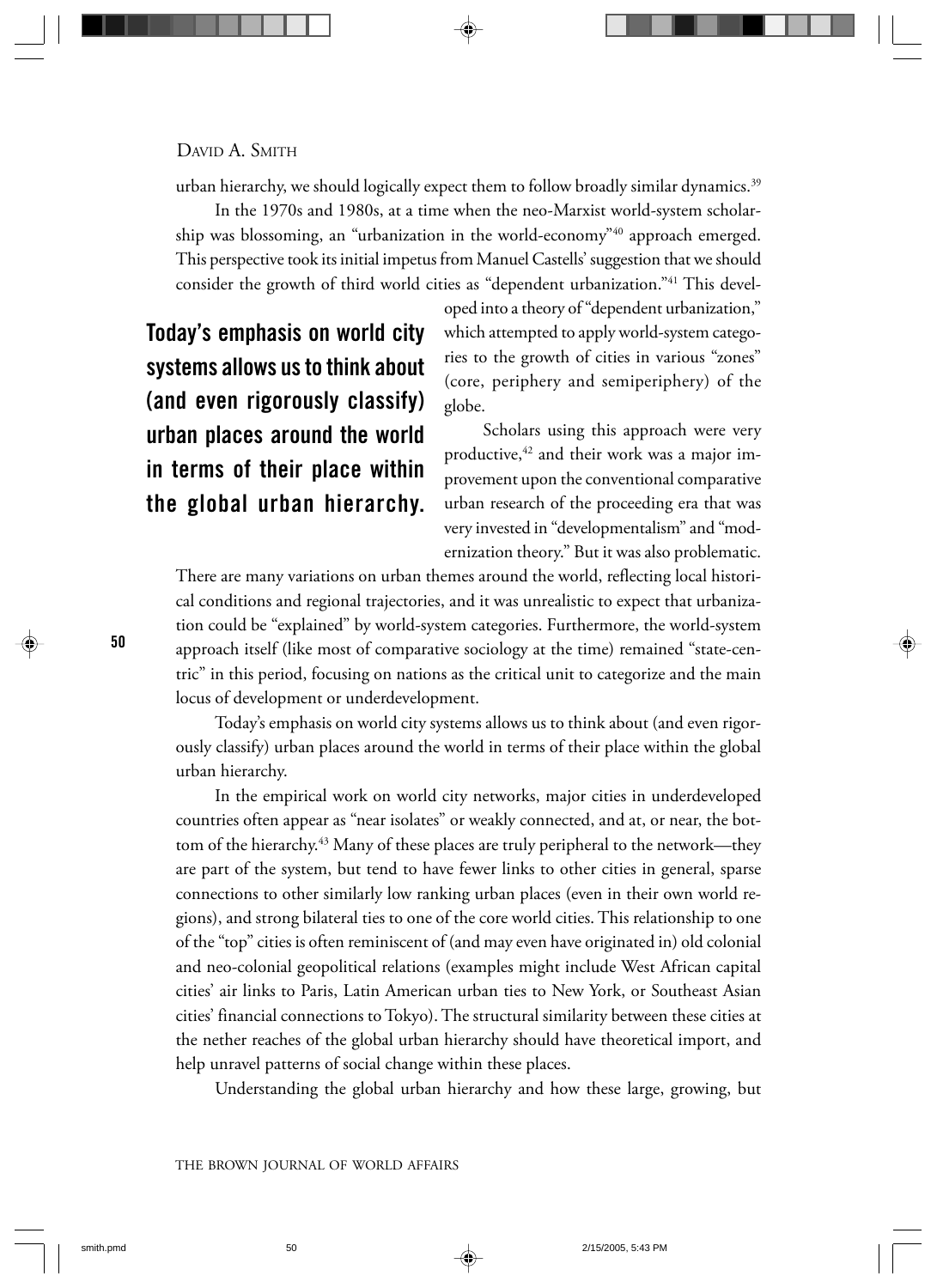urban hierarchy, we should logically expect them to follow broadly similar dynamics.39

In the 1970s and 1980s, at a time when the neo-Marxist world-system scholarship was blossoming, an "urbanization in the world-economy"<sup>40</sup> approach emerged. This perspective took its initial impetus from Manuel Castells' suggestion that we should consider the growth of third world cities as "dependent urbanization."41 This devel-

Today's emphasis on world city systems allows us to think about (and even rigorously classify) urban places around the world in terms of their place within the global urban hierarchy.

oped into a theory of "dependent urbanization," which attempted to apply world-system categories to the growth of cities in various "zones" (core, periphery and semiperiphery) of the globe.

Scholars using this approach were very productive,  $42$  and their work was a major improvement upon the conventional comparative urban research of the proceeding era that was very invested in "developmentalism" and "modernization theory." But it was also problematic.

There are many variations on urban themes around the world, reflecting local historical conditions and regional trajectories, and it was unrealistic to expect that urbanization could be "explained" by world-system categories. Furthermore, the world-system approach itself (like most of comparative sociology at the time) remained "state-centric" in this period, focusing on nations as the critical unit to categorize and the main locus of development or underdevelopment.

Today's emphasis on world city systems allows us to think about (and even rigorously classify) urban places around the world in terms of their place within the global urban hierarchy.

In the empirical work on world city networks, major cities in underdeveloped countries often appear as "near isolates" or weakly connected, and at, or near, the bottom of the hierarchy.<sup>43</sup> Many of these places are truly peripheral to the network—they are part of the system, but tend to have fewer links to other cities in general, sparse connections to other similarly low ranking urban places (even in their own world regions), and strong bilateral ties to one of the core world cities. This relationship to one of the "top" cities is often reminiscent of (and may even have originated in) old colonial and neo-colonial geopolitical relations (examples might include West African capital cities' air links to Paris, Latin American urban ties to New York, or Southeast Asian cities' financial connections to Tokyo). The structural similarity between these cities at the nether reaches of the global urban hierarchy should have theoretical import, and help unravel patterns of social change within these places.

Understanding the global urban hierarchy and how these large, growing, but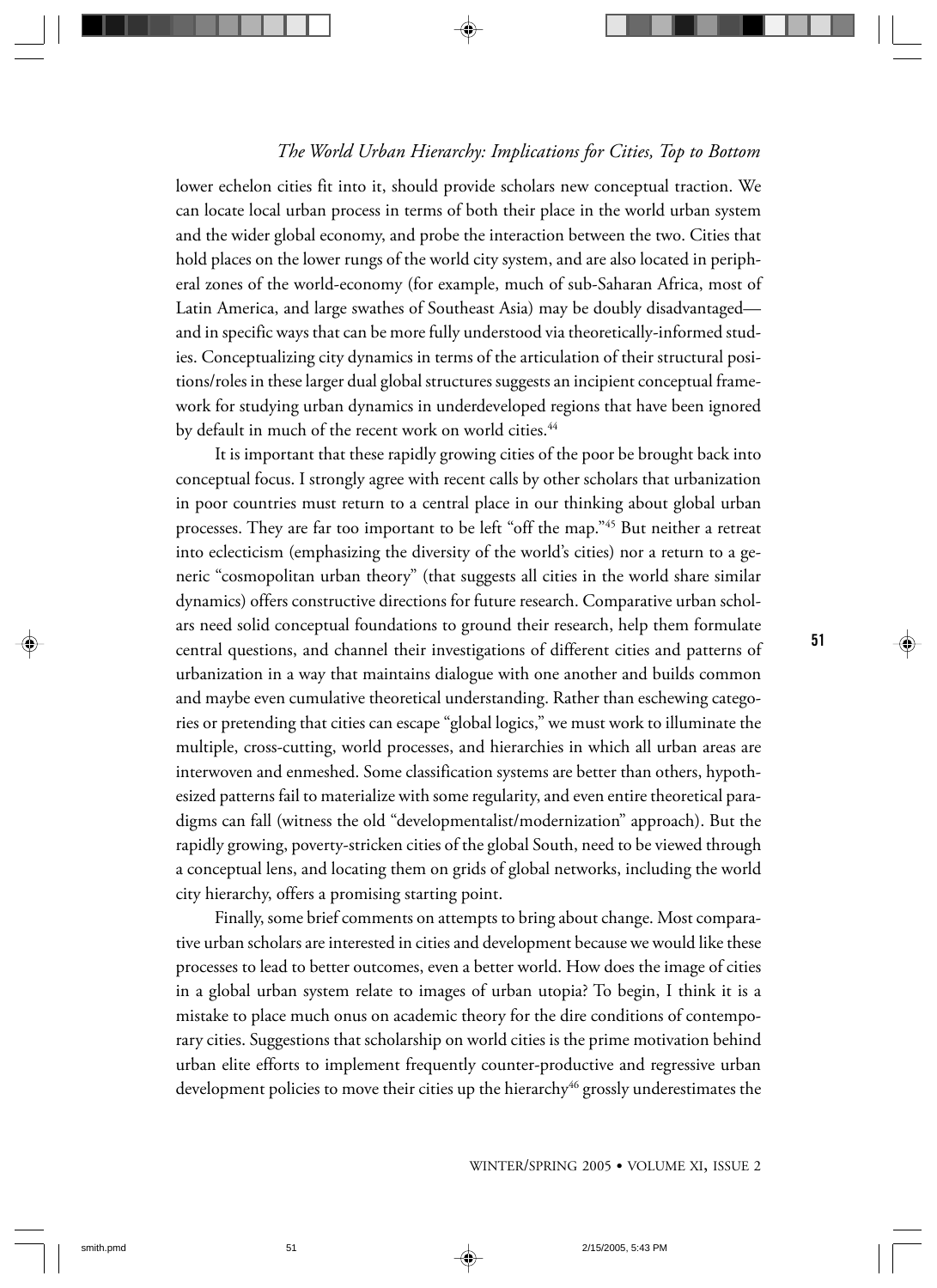lower echelon cities fit into it, should provide scholars new conceptual traction. We can locate local urban process in terms of both their place in the world urban system and the wider global economy, and probe the interaction between the two. Cities that hold places on the lower rungs of the world city system, and are also located in peripheral zones of the world-economy (for example, much of sub-Saharan Africa, most of Latin America, and large swathes of Southeast Asia) may be doubly disadvantaged and in specific ways that can be more fully understood via theoretically-informed studies. Conceptualizing city dynamics in terms of the articulation of their structural positions/roles in these larger dual global structures suggests an incipient conceptual framework for studying urban dynamics in underdeveloped regions that have been ignored by default in much of the recent work on world cities.<sup>44</sup>

It is important that these rapidly growing cities of the poor be brought back into conceptual focus. I strongly agree with recent calls by other scholars that urbanization in poor countries must return to a central place in our thinking about global urban processes. They are far too important to be left "off the map."45 But neither a retreat into eclecticism (emphasizing the diversity of the world's cities) nor a return to a generic "cosmopolitan urban theory" (that suggests all cities in the world share similar dynamics) offers constructive directions for future research. Comparative urban scholars need solid conceptual foundations to ground their research, help them formulate central questions, and channel their investigations of different cities and patterns of urbanization in a way that maintains dialogue with one another and builds common and maybe even cumulative theoretical understanding. Rather than eschewing categories or pretending that cities can escape "global logics," we must work to illuminate the multiple, cross-cutting, world processes, and hierarchies in which all urban areas are interwoven and enmeshed. Some classification systems are better than others, hypothesized patterns fail to materialize with some regularity, and even entire theoretical paradigms can fall (witness the old "developmentalist/modernization" approach). But the rapidly growing, poverty-stricken cities of the global South, need to be viewed through a conceptual lens, and locating them on grids of global networks, including the world city hierarchy, offers a promising starting point.

Finally, some brief comments on attempts to bring about change. Most comparative urban scholars are interested in cities and development because we would like these processes to lead to better outcomes, even a better world. How does the image of cities in a global urban system relate to images of urban utopia? To begin, I think it is a mistake to place much onus on academic theory for the dire conditions of contemporary cities. Suggestions that scholarship on world cities is the prime motivation behind urban elite efforts to implement frequently counter-productive and regressive urban development policies to move their cities up the hierarchy<sup>46</sup> grossly underestimates the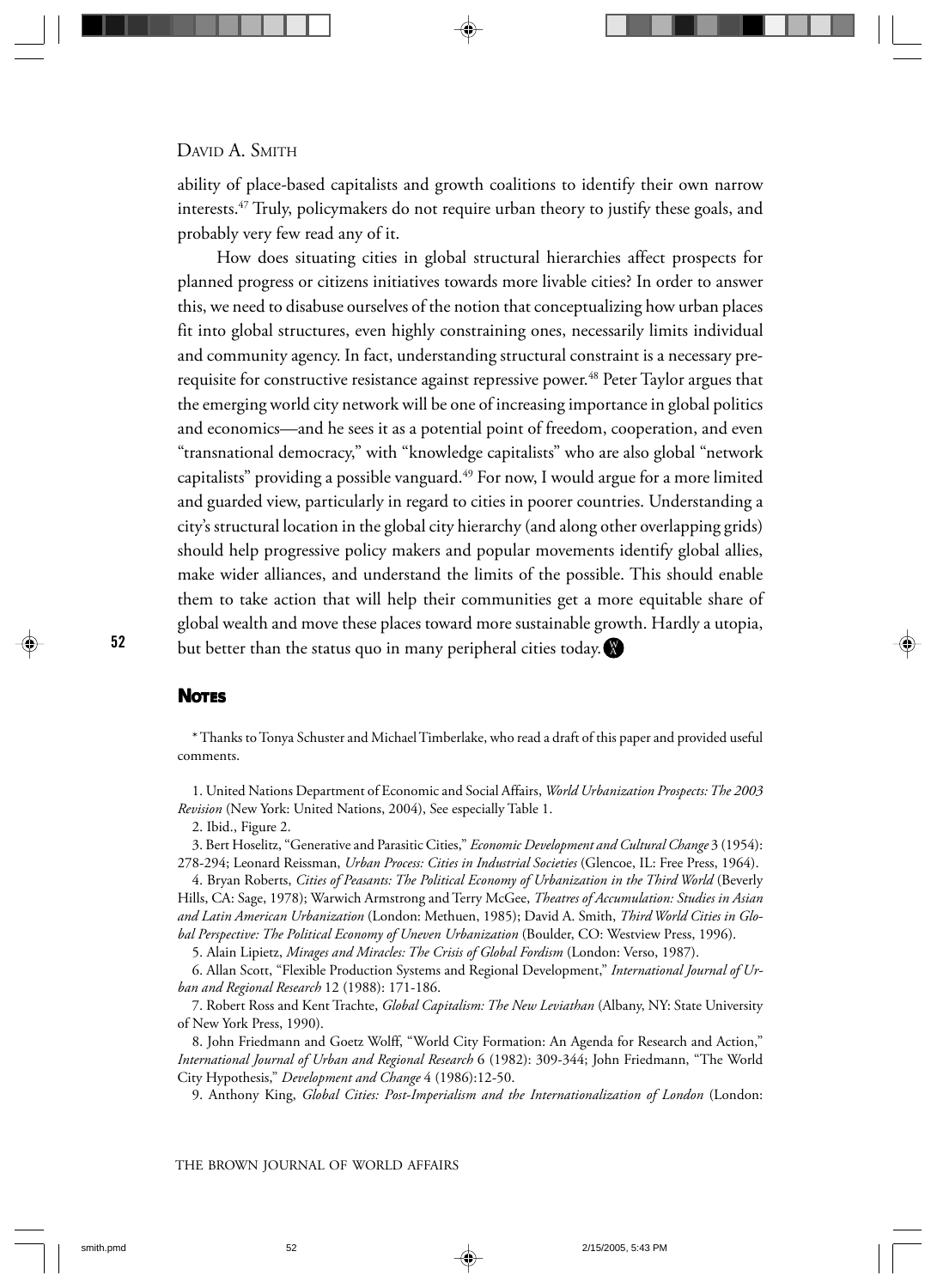ability of place-based capitalists and growth coalitions to identify their own narrow interests.47 Truly, policymakers do not require urban theory to justify these goals, and probably very few read any of it.

How does situating cities in global structural hierarchies affect prospects for planned progress or citizens initiatives towards more livable cities? In order to answer this, we need to disabuse ourselves of the notion that conceptualizing how urban places fit into global structures, even highly constraining ones, necessarily limits individual and community agency. In fact, understanding structural constraint is a necessary prerequisite for constructive resistance against repressive power.<sup>48</sup> Peter Taylor argues that the emerging world city network will be one of increasing importance in global politics and economics—and he sees it as a potential point of freedom, cooperation, and even "transnational democracy," with "knowledge capitalists" who are also global "network capitalists" providing a possible vanguard. $49$  For now, I would argue for a more limited and guarded view, particularly in regard to cities in poorer countries. Understanding a city's structural location in the global city hierarchy (and along other overlapping grids) should help progressive policy makers and popular movements identify global allies, make wider alliances, and understand the limits of the possible. This should enable them to take action that will help their communities get a more equitable share of global wealth and move these places toward more sustainable growth. Hardly a utopia, but better than the status quo in many peripheral cities today.  $\blacksquare$ 

#### **NOTES**

1. United Nations Department of Economic and Social Affairs, *World Urbanization Prospects: The 2003 Revision* (New York: United Nations, 2004), See especially Table 1.

2. Ibid., Figure 2.

3. Bert Hoselitz, "Generative and Parasitic Cities," *Economic Development and Cultural Change* 3 (1954): 278-294; Leonard Reissman, *Urban Process: Cities in Industrial Societies* (Glencoe, IL: Free Press, 1964).

4. Bryan Roberts, *Cities of Peasants: The Political Economy of Urbanization in the Third World* (Beverly Hills, CA: Sage, 1978); Warwich Armstrong and Terry McGee, *Theatres of Accumulation: Studies in Asian and Latin American Urbanization* (London: Methuen, 1985); David A. Smith, *Third World Cities in Global Perspective: The Political Economy of Uneven Urbanization* (Boulder, CO: Westview Press, 1996).

5. Alain Lipietz, *Mirages and Miracles: The Crisis of Global Fordism* (London: Verso, 1987).

6. Allan Scott, "Flexible Production Systems and Regional Development," *International Journal of Urban and Regional Research* 12 (1988): 171-186.

7. Robert Ross and Kent Trachte, *Global Capitalism: The New Leviathan* (Albany, NY: State University of New York Press, 1990).

8. John Friedmann and Goetz Wolff, "World City Formation: An Agenda for Research and Action," *International Journal of Urban and Regional Research* 6 (1982): 309-344; John Friedmann, "The World City Hypothesis," *Development and Change* 4 (1986):12-50.

9. Anthony King, *Global Cities: Post-Imperialism and the Internationalization of London* (London:

<sup>\*</sup> Thanks to Tonya Schuster and Michael Timberlake, who read a draft of this paper and provided useful comments.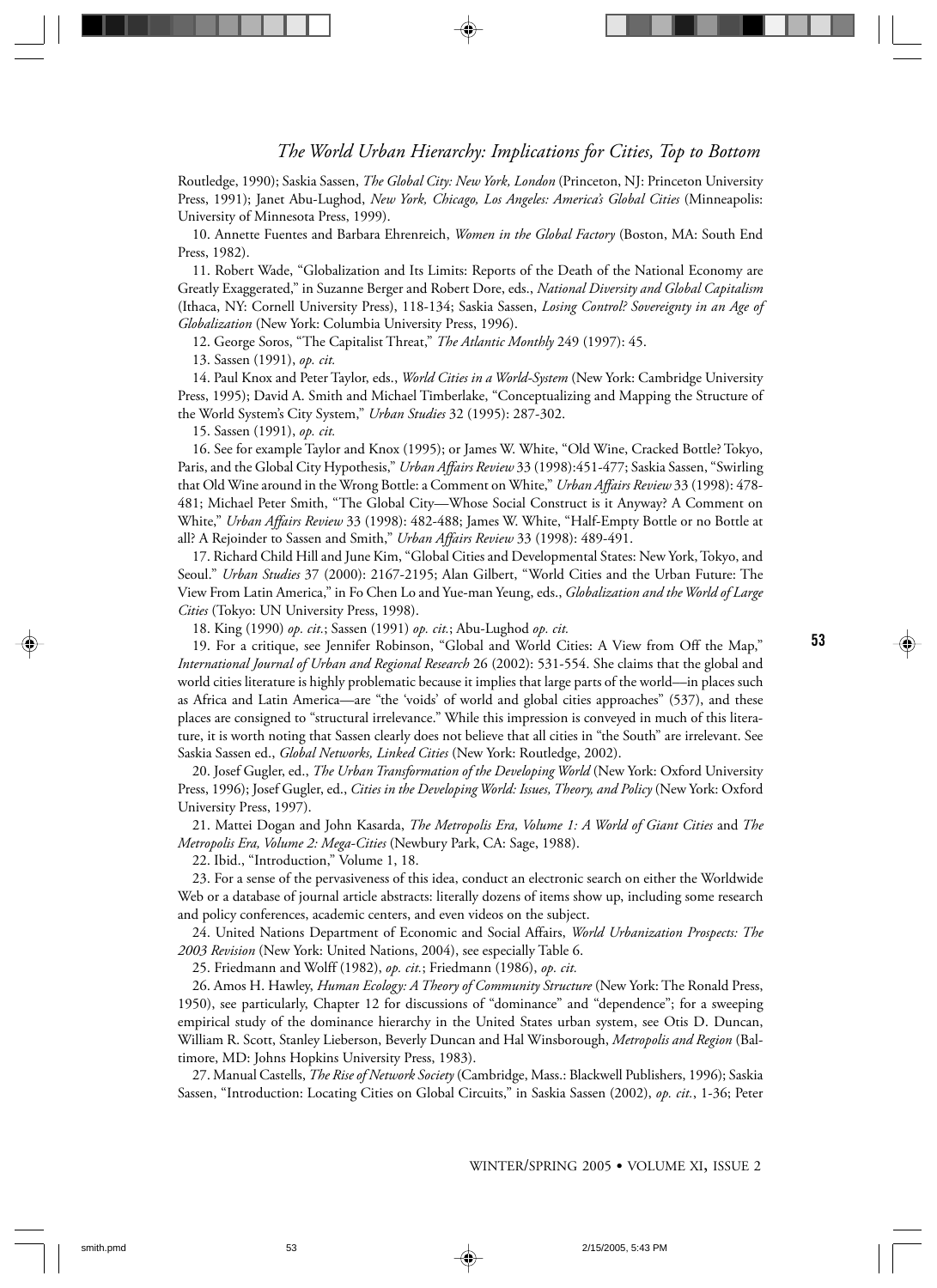Routledge, 1990); Saskia Sassen, *The Global City: New York, London* (Princeton, NJ: Princeton University Press, 1991); Janet Abu-Lughod, *New York, Chicago, Los Angeles: America's Global Cities* (Minneapolis: University of Minnesota Press, 1999).

10. Annette Fuentes and Barbara Ehrenreich, *Women in the Global Factory* (Boston, MA: South End Press, 1982).

11. Robert Wade, "Globalization and Its Limits: Reports of the Death of the National Economy are Greatly Exaggerated," in Suzanne Berger and Robert Dore, eds., *National Diversity and Global Capitalism* (Ithaca, NY: Cornell University Press), 118-134; Saskia Sassen, *Losing Control? Sovereignty in an Age of Globalization* (New York: Columbia University Press, 1996).

12. George Soros, "The Capitalist Threat," *The Atlantic Monthly* 249 (1997): 45.

13. Sassen (1991), *op. cit.*

14. Paul Knox and Peter Taylor, eds., *World Cities in a World-System* (New York: Cambridge University Press, 1995); David A. Smith and Michael Timberlake, "Conceptualizing and Mapping the Structure of the World System's City System," *Urban Studies* 32 (1995): 287-302.

15. Sassen (1991), *op. cit.*

16. See for example Taylor and Knox (1995); or James W. White, "Old Wine, Cracked Bottle? Tokyo, Paris, and the Global City Hypothesis," *Urban Affairs Review* 33 (1998):451-477; Saskia Sassen, "Swirling that Old Wine around in the Wrong Bottle: a Comment on White," *Urban Affairs Review* 33 (1998): 478- 481; Michael Peter Smith, "The Global City––Whose Social Construct is it Anyway? A Comment on White," *Urban Affairs Review* 33 (1998): 482-488; James W. White, "Half-Empty Bottle or no Bottle at all? A Rejoinder to Sassen and Smith," *Urban Affairs Review* 33 (1998): 489-491.

17. Richard Child Hill and June Kim, "Global Cities and Developmental States: New York, Tokyo, and Seoul." *Urban Studies* 37 (2000): 2167-2195; Alan Gilbert, "World Cities and the Urban Future: The View From Latin America," in Fo Chen Lo and Yue-man Yeung, eds., *Globalization and the World of Large Cities* (Tokyo: UN University Press, 1998).

18. King (1990) *op. cit.*; Sassen (1991) *op. cit.*; Abu-Lughod *op. cit.*

19. For a critique, see Jennifer Robinson, "Global and World Cities: A View from Off the Map," *International Journal of Urban and Regional Research* 26 (2002): 531-554. She claims that the global and world cities literature is highly problematic because it implies that large parts of the world––in places such as Africa and Latin America––are "the 'voids' of world and global cities approaches" (537), and these places are consigned to "structural irrelevance." While this impression is conveyed in much of this literature, it is worth noting that Sassen clearly does not believe that all cities in "the South" are irrelevant. See Saskia Sassen ed., *Global Networks, Linked Cities* (New York: Routledge, 2002).

20. Josef Gugler, ed., *The Urban Transformation of the Developing World* (New York: Oxford University Press, 1996); Josef Gugler, ed., *Cities in the Developing World: Issues, Theory, and Policy* (New York: Oxford University Press, 1997).

21. Mattei Dogan and John Kasarda, *The Metropolis Era, Volume 1: A World of Giant Cities* and *The Metropolis Era, Volume 2: Mega-Cities* (Newbury Park, CA: Sage, 1988).

22. Ibid., "Introduction," Volume 1, 18.

23. For a sense of the pervasiveness of this idea, conduct an electronic search on either the Worldwide Web or a database of journal article abstracts: literally dozens of items show up, including some research and policy conferences, academic centers, and even videos on the subject.

24. United Nations Department of Economic and Social Affairs, *World Urbanization Prospects: The 2003 Revision* (New York: United Nations, 2004), see especially Table 6.

25. Friedmann and Wolff (1982), *op. cit.*; Friedmann (1986), *op. cit.*

26. Amos H. Hawley, *Human Ecology: A Theory of Community Structure* (New York: The Ronald Press, 1950), see particularly, Chapter 12 for discussions of "dominance" and "dependence"; for a sweeping empirical study of the dominance hierarchy in the United States urban system, see Otis D. Duncan, William R. Scott, Stanley Lieberson, Beverly Duncan and Hal Winsborough, *Metropolis and Region* (Baltimore, MD: Johns Hopkins University Press, 1983).

27. Manual Castells, *The Rise of Network Society* (Cambridge, Mass.: Blackwell Publishers, 1996); Saskia Sassen, "Introduction: Locating Cities on Global Circuits," in Saskia Sassen (2002), *op. cit.*, 1-36; Peter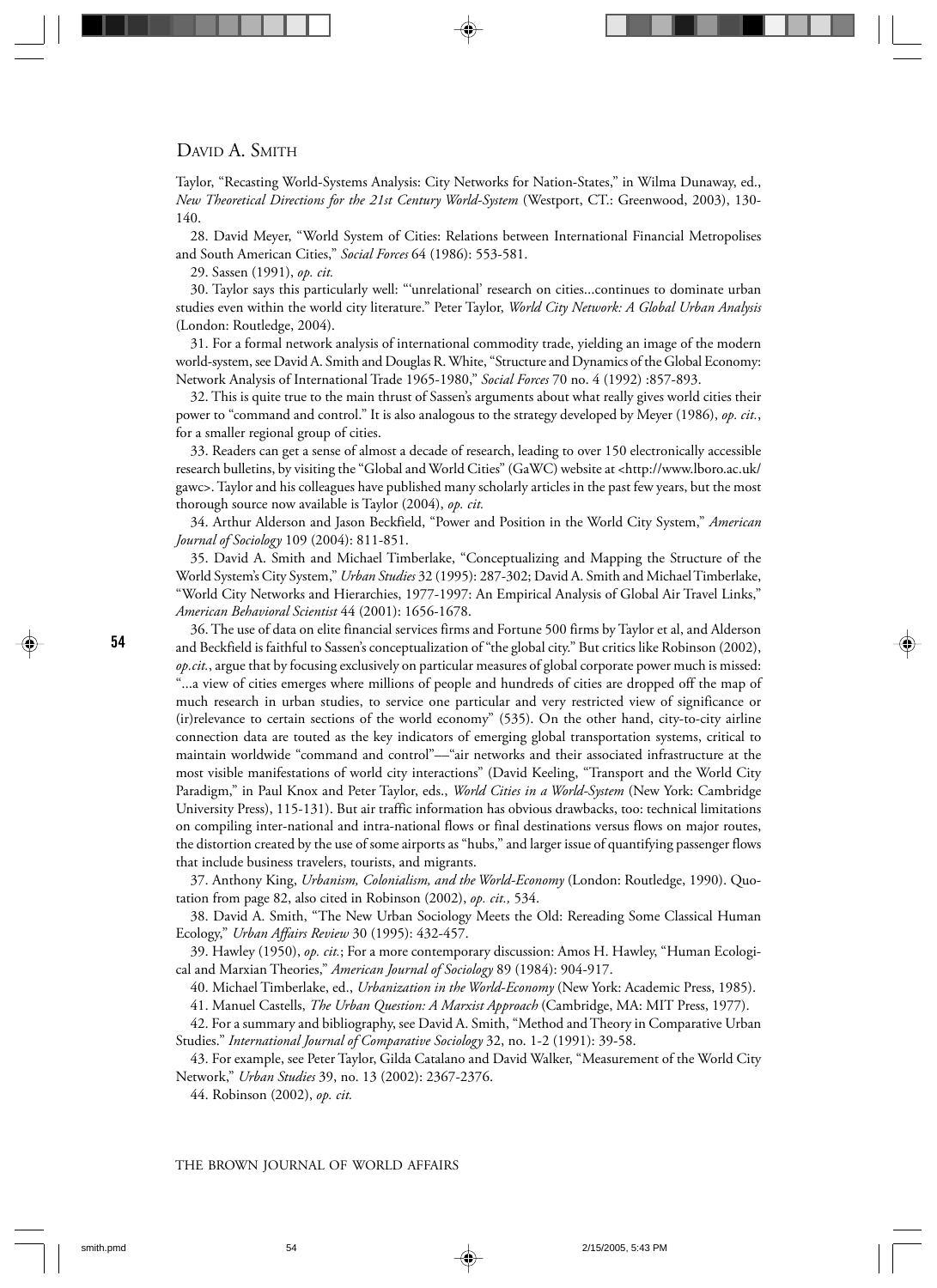Taylor, "Recasting World-Systems Analysis: City Networks for Nation-States," in Wilma Dunaway, ed., *New Theoretical Directions for the 21st Century World-System* (Westport, CT.: Greenwood, 2003), 130- 140.

28. David Meyer, "World System of Cities: Relations between International Financial Metropolises and South American Cities," *Social Forces* 64 (1986): 553-581.

29. Sassen (1991), *op. cit.*

30. Taylor says this particularly well: "'unrelational' research on cities...continues to dominate urban studies even within the world city literature." Peter Taylor, *World City Network: A Global Urban Analysis* (London: Routledge, 2004).

31. For a formal network analysis of international commodity trade, yielding an image of the modern world-system, see David A. Smith and Douglas R. White, "Structure and Dynamics of the Global Economy: Network Analysis of International Trade 1965-1980," *Social Forces* 70 no. 4 (1992) :857-893.

32. This is quite true to the main thrust of Sassen's arguments about what really gives world cities their power to "command and control." It is also analogous to the strategy developed by Meyer (1986), *op. cit.*, for a smaller regional group of cities.

33. Readers can get a sense of almost a decade of research, leading to over 150 electronically accessible research bulletins, by visiting the "Global and World Cities" (GaWC) website at <http://www.lboro.ac.uk/ gawc>. Taylor and his colleagues have published many scholarly articles in the past few years, but the most thorough source now available is Taylor (2004), *op. cit.*

34. Arthur Alderson and Jason Beckfield, "Power and Position in the World City System," *American Journal of Sociology* 109 (2004): 811-851.

35. David A. Smith and Michael Timberlake, "Conceptualizing and Mapping the Structure of the World System's City System," *Urban Studies* 32 (1995): 287-302; David A. Smith and Michael Timberlake, "World City Networks and Hierarchies, 1977-1997: An Empirical Analysis of Global Air Travel Links," *American Behavioral Scientist* 44 (2001): 1656-1678.

36. The use of data on elite financial services firms and Fortune 500 firms by Taylor et al, and Alderson and Beckfield is faithful to Sassen's conceptualization of "the global city." But critics like Robinson (2002), *op.cit.*, argue that by focusing exclusively on particular measures of global corporate power much is missed: "...a view of cities emerges where millions of people and hundreds of cities are dropped off the map of much research in urban studies, to service one particular and very restricted view of significance or (ir)relevance to certain sections of the world economy" (535). On the other hand, city-to-city airline connection data are touted as the key indicators of emerging global transportation systems, critical to maintain worldwide "command and control"––"air networks and their associated infrastructure at the most visible manifestations of world city interactions" (David Keeling, "Transport and the World City Paradigm," in Paul Knox and Peter Taylor, eds., *World Cities in a World-System* (New York: Cambridge University Press), 115-131). But air traffic information has obvious drawbacks, too: technical limitations on compiling inter-national and intra-national flows or final destinations versus flows on major routes, the distortion created by the use of some airports as "hubs," and larger issue of quantifying passenger flows that include business travelers, tourists, and migrants.

37. Anthony King, *Urbanism, Colonialism, and the World-Economy* (London: Routledge, 1990). Quotation from page 82, also cited in Robinson (2002), *op. cit.,* 534.

38. David A. Smith, "The New Urban Sociology Meets the Old: Rereading Some Classical Human Ecology," *Urban Affairs Review* 30 (1995): 432-457.

39. Hawley (1950), *op. cit.*; For a more contemporary discussion: Amos H. Hawley, "Human Ecological and Marxian Theories," *American Journal of Sociology* 89 (1984): 904-917.

40. Michael Timberlake, ed., *Urbanization in the World-Economy* (New York: Academic Press, 1985).

41. Manuel Castells, *The Urban Question: A Marxist Approach* (Cambridge, MA: MIT Press, 1977).

42. For a summary and bibliography, see David A. Smith, "Method and Theory in Comparative Urban Studies." *International Journal of Comparative Sociology* 32, no. 1-2 (1991): 39-58.

43. For example, see Peter Taylor, Gilda Catalano and David Walker, "Measurement of the World City Network," *Urban Studies* 39, no. 13 (2002): 2367-2376.

44. Robinson (2002), *op. cit.*